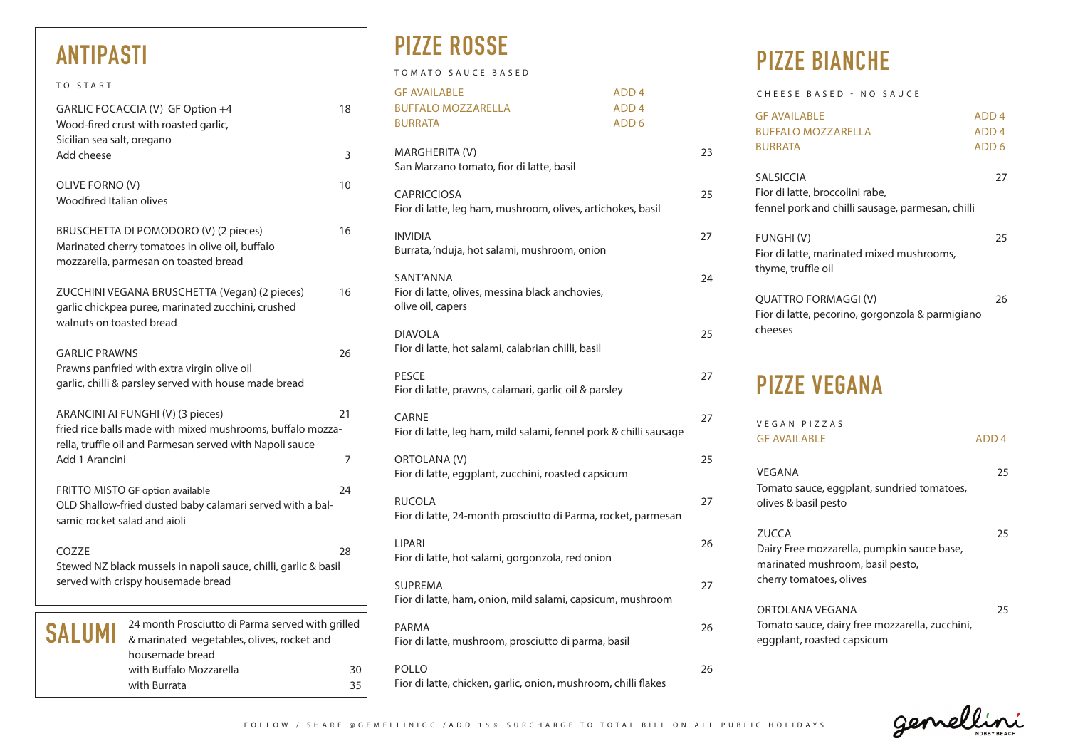| TO START                                                                                                                                                    |                                                                                                |
|-------------------------------------------------------------------------------------------------------------------------------------------------------------|------------------------------------------------------------------------------------------------|
| GARLIC FOCACCIA (V) GF Option +4<br>Wood-fired crust with roasted garlic,<br>Sicilian sea salt, oregano                                                     | 18                                                                                             |
| Add cheese                                                                                                                                                  | 3                                                                                              |
| OLIVE FORNO (V)<br>Woodfired Italian olives                                                                                                                 | 10                                                                                             |
| BRUSCHETTA DI POMODORO (V) (2 pieces)<br>Marinated cherry tomatoes in olive oil, buffalo<br>mozzarella, parmesan on toasted bread                           | 16                                                                                             |
| ZUCCHINI VEGANA BRUSCHETTA (Vegan) (2 pieces)<br>garlic chickpea puree, marinated zucchini, crushed<br>walnuts on toasted bread                             | 16                                                                                             |
| <b>GARLIC PRAWNS</b><br>Prawns panfried with extra virgin olive oil<br>garlic, chilli & parsley served with house made bread                                | 26                                                                                             |
| ARANCINI AI FUNGHI (V) (3 pieces)<br>fried rice balls made with mixed mushrooms, buffalo mozza-<br>rella, truffle oil and Parmesan served with Napoli sauce | 21                                                                                             |
| Add 1 Arancini                                                                                                                                              | 7                                                                                              |
| FRITTO MISTO GF option available<br>QLD Shallow-fried dusted baby calamari served with a bal-<br>samic rocket salad and aioli                               | 24                                                                                             |
| COZZE<br>Stewed NZ black mussels in napoli sauce, chilli, garlic & basil<br>served with crispy housemade bread                                              | 28                                                                                             |
| SALUMI<br>housemade bread                                                                                                                                   | 24 month Prosciutto di Parma served with grilled<br>& marinated vegetables, olives, rocket and |

with Buffalo Mozzarella 30 with Burrata 35

TOMATO SAUCE BASED

| <b>GF AVAILABLE</b><br><b>BUFFALO MOZZARELLA</b><br><b>BURRATA</b>                | ADD <sub>4</sub><br>ADD <sub>4</sub><br>ADD <sub>6</sub> |    |
|-----------------------------------------------------------------------------------|----------------------------------------------------------|----|
| MARGHERITA (V)<br>San Marzano tomato, fior di latte, basil                        |                                                          | 23 |
| <b>CAPRICCIOSA</b><br>Fior di latte, leg ham, mushroom, olives, artichokes, basil |                                                          | 25 |
| <b>INVIDIA</b><br>Burrata, 'nduja, hot salami, mushroom, onion                    |                                                          | 27 |
| SANT'ANNA<br>Fior di latte, olives, messina black anchovies,<br>olive oil, capers |                                                          | 24 |
| <b>DIAVOLA</b><br>Fior di latte, hot salami, calabrian chilli, basil              |                                                          | 25 |
| <b>PESCE</b><br>Fior di latte, prawns, calamari, garlic oil & parsley             |                                                          | 27 |
| <b>CARNE</b><br>Fior di latte, leg ham, mild salami, fennel pork & chilli sausage |                                                          | 27 |
| ORTOLANA (V)<br>Fior di latte, eggplant, zucchini, roasted capsicum               |                                                          | 25 |
| <b>RUCOLA</b><br>Fior di latte, 24-month prosciutto di Parma, rocket, parmesan    |                                                          | 27 |
| <b>LIPARI</b><br>Fior di latte, hot salami, gorgonzola, red onion                 |                                                          | 26 |
| <b>SUPREMA</b><br>Fior di latte, ham, onion, mild salami, capsicum, mushroom      |                                                          | 27 |
| <b>PARMA</b><br>Fior di latte, mushroom, prosciutto di parma, basil               |                                                          | 26 |
| POLLO                                                                             |                                                          | 26 |

Fior di latte, chicken, garlic, onion, mushroom, chilli flakes

## **ANTIPASTI PIZZE ROSSE PIZZE BIANCHE**

| CHEESE BASED - NO SAUCE                                                                                                   |                                                          |
|---------------------------------------------------------------------------------------------------------------------------|----------------------------------------------------------|
| <b>GF AVAILABLE</b><br><b>BUFFALO MOZZARELLA</b><br><b>BURRATA</b>                                                        | ADD <sub>4</sub><br>ADD <sub>4</sub><br>ADD <sub>6</sub> |
| SALSICCIA<br>Fior di latte, broccolini rabe,<br>fennel pork and chilli sausage, parmesan, chilli                          | 27                                                       |
| <b>FUNGHI (V)</b><br>Fior di latte, marinated mixed mushrooms,<br>thyme, truffle oil                                      | 25                                                       |
| <b>QUATTRO FORMAGGI (V)</b><br>Fior di latte, pecorino, gorgonzola & parmigiano<br>cheeses                                | 26                                                       |
| <b>PIZZE VEGANA</b>                                                                                                       |                                                          |
| VEGAN PIZZAS<br><b>GF AVAILABLE</b>                                                                                       | ADD <sub>4</sub>                                         |
| VEGANA<br>Tomato sauce, eggplant, sundried tomatoes,<br>olives & basil pesto                                              | 25                                                       |
| <b>ZUCCA</b><br>Dairy Free mozzarella, pumpkin sauce base,<br>marinated mushroom, basil pesto,<br>cherry tomatoes, olives | 25                                                       |
| ORTOLANA VEGANA                                                                                                           | 25                                                       |

Tomato sauce, dairy free mozzarella, zucchini, eggplant, roasted capsicum